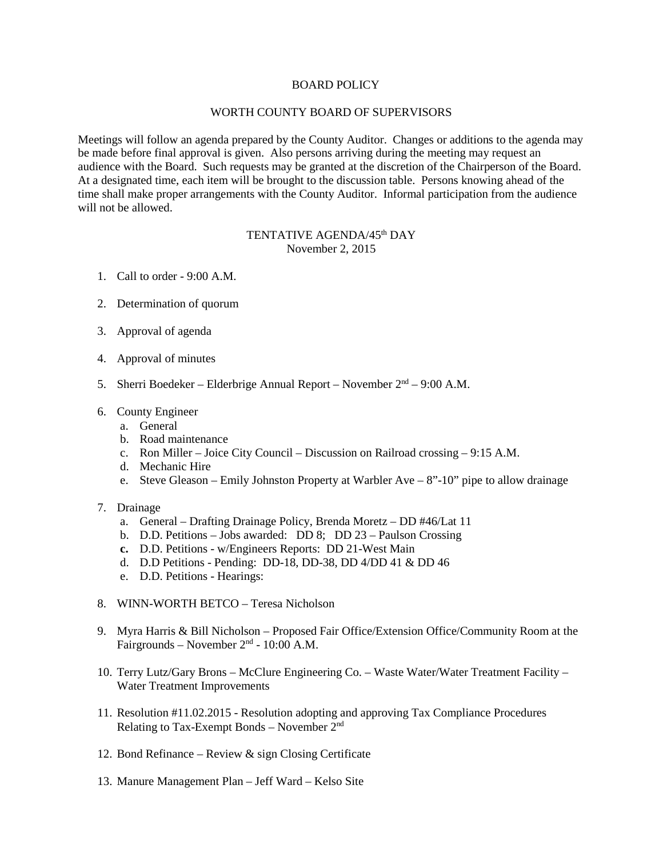## BOARD POLICY

## WORTH COUNTY BOARD OF SUPERVISORS

Meetings will follow an agenda prepared by the County Auditor. Changes or additions to the agenda may be made before final approval is given. Also persons arriving during the meeting may request an audience with the Board. Such requests may be granted at the discretion of the Chairperson of the Board. At a designated time, each item will be brought to the discussion table. Persons knowing ahead of the time shall make proper arrangements with the County Auditor. Informal participation from the audience will not be allowed.

## TENTATIVE AGENDA/45<sup>th</sup> DAY November 2, 2015

- 1. Call to order 9:00 A.M.
- 2. Determination of quorum
- 3. Approval of agenda
- 4. Approval of minutes
- 5. Sherri Boedeker Elderbrige Annual Report November 2nd 9:00 A.M.
- 6. County Engineer
	- a. General
	- b. Road maintenance
	- c. Ron Miller Joice City Council Discussion on Railroad crossing 9:15 A.M.
	- d. Mechanic Hire
	- e. Steve Gleason Emily Johnston Property at Warbler Ave 8"-10" pipe to allow drainage
- 7. Drainage
	- a. General Drafting Drainage Policy, Brenda Moretz DD #46/Lat 11
	- b. D.D. Petitions Jobs awarded: DD 8; DD 23 Paulson Crossing
	- **c.** D.D. Petitions w/Engineers Reports: DD 21-West Main
	- d. D.D Petitions Pending: DD-18, DD-38, DD 4/DD 41 & DD 46
	- e. D.D. Petitions Hearings:
- 8. WINN-WORTH BETCO Teresa Nicholson
- 9. Myra Harris & Bill Nicholson Proposed Fair Office/Extension Office/Community Room at the Fairgrounds – November 2nd - 10:00 A.M.
- 10. Terry Lutz/Gary Brons McClure Engineering Co. Waste Water/Water Treatment Facility Water Treatment Improvements
- 11. Resolution #11.02.2015 Resolution adopting and approving Tax Compliance Procedures Relating to Tax-Exempt Bonds – November  $2<sup>nd</sup>$
- 12. Bond Refinance Review & sign Closing Certificate
- 13. Manure Management Plan Jeff Ward Kelso Site